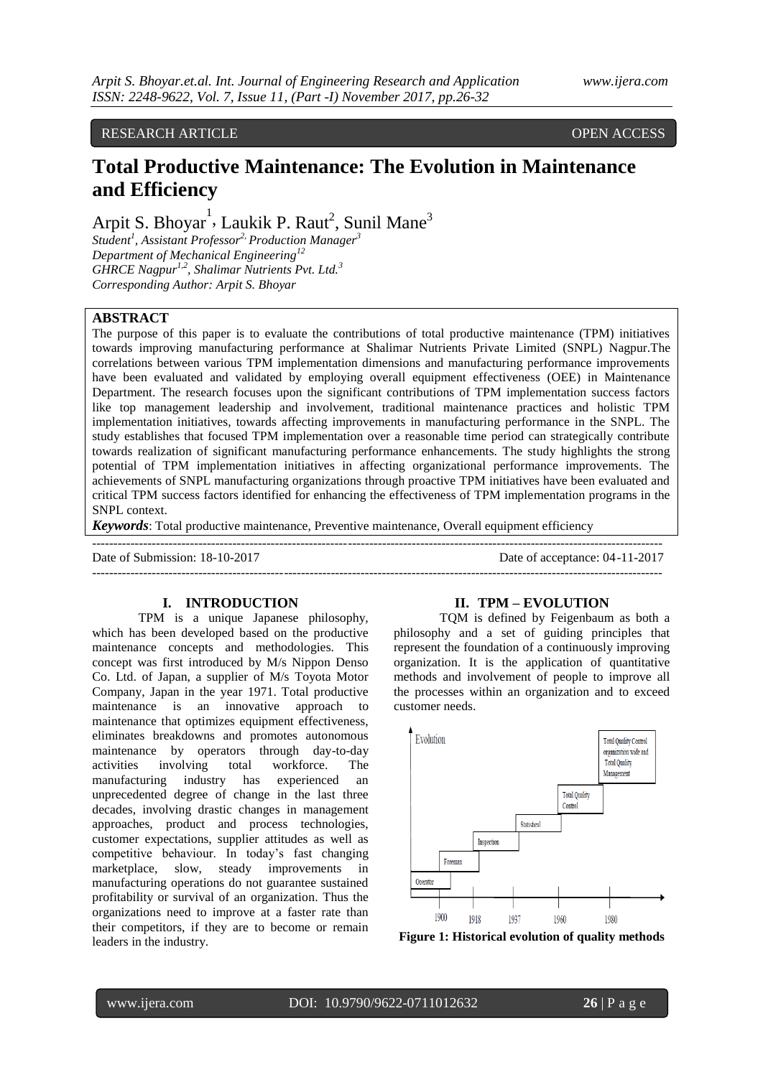# RESEARCH ARTICLE **CONSERVERS** OPEN ACCESS

# **Total Productive Maintenance: The Evolution in Maintenance and Efficiency**

Arpit S. Bhoyar<sup>1</sup>, Laukik P. Raut<sup>2</sup>, Sunil Mane<sup>3</sup>

*Student<sup>1</sup> , Assistant Professor2, Production Manager<sup>3</sup> Department of Mechanical Engineering<sup>12</sup> GHRCE Nagpur1,2 , Shalimar Nutrients Pvt. Ltd.<sup>3</sup> Corresponding Author: Arpit S. Bhoyar*

## **ABSTRACT**

The purpose of this paper is to evaluate the contributions of total productive maintenance (TPM) initiatives towards improving manufacturing performance at Shalimar Nutrients Private Limited (SNPL) Nagpur.The correlations between various TPM implementation dimensions and manufacturing performance improvements have been evaluated and validated by employing overall equipment effectiveness (OEE) in Maintenance Department. The research focuses upon the significant contributions of TPM implementation success factors like top management leadership and involvement, traditional maintenance practices and holistic TPM implementation initiatives, towards affecting improvements in manufacturing performance in the SNPL. The study establishes that focused TPM implementation over a reasonable time period can strategically contribute towards realization of significant manufacturing performance enhancements. The study highlights the strong potential of TPM implementation initiatives in affecting organizational performance improvements. The achievements of SNPL manufacturing organizations through proactive TPM initiatives have been evaluated and critical TPM success factors identified for enhancing the effectiveness of TPM implementation programs in the SNPL context.

*Keywords*: Total productive maintenance, Preventive maintenance, Overall equipment efficiency

-------------------------------------------------------------------------------------------------------------------------------------- Date of Submission: 18-10-2017 Date of acceptance: 04-11-2017

 $-1.1$ 

#### **I. INTRODUCTION**

TPM is a unique Japanese philosophy, which has been developed based on the productive maintenance concepts and methodologies. This concept was first introduced by M/s Nippon Denso Co. Ltd. of Japan, a supplier of M/s Toyota Motor Company, Japan in the year 1971. Total productive maintenance is an innovative approach to maintenance that optimizes equipment effectiveness, eliminates breakdowns and promotes autonomous maintenance by operators through day-to-day activities involving total workforce. The manufacturing industry has experienced an unprecedented degree of change in the last three decades, involving drastic changes in management approaches, product and process technologies, customer expectations, supplier attitudes as well as competitive behaviour. In today"s fast changing marketplace, slow, steady improvements in manufacturing operations do not guarantee sustained profitability or survival of an organization. Thus the organizations need to improve at a faster rate than their competitors, if they are to become or remain leaders in the industry.

#### **II. TPM – EVOLUTION**

TQM is defined by Feigenbaum as both a philosophy and a set of guiding principles that represent the foundation of a continuously improving organization. It is the application of quantitative methods and involvement of people to improve all the processes within an organization and to exceed customer needs.



**Figure 1: Historical evolution of quality methods**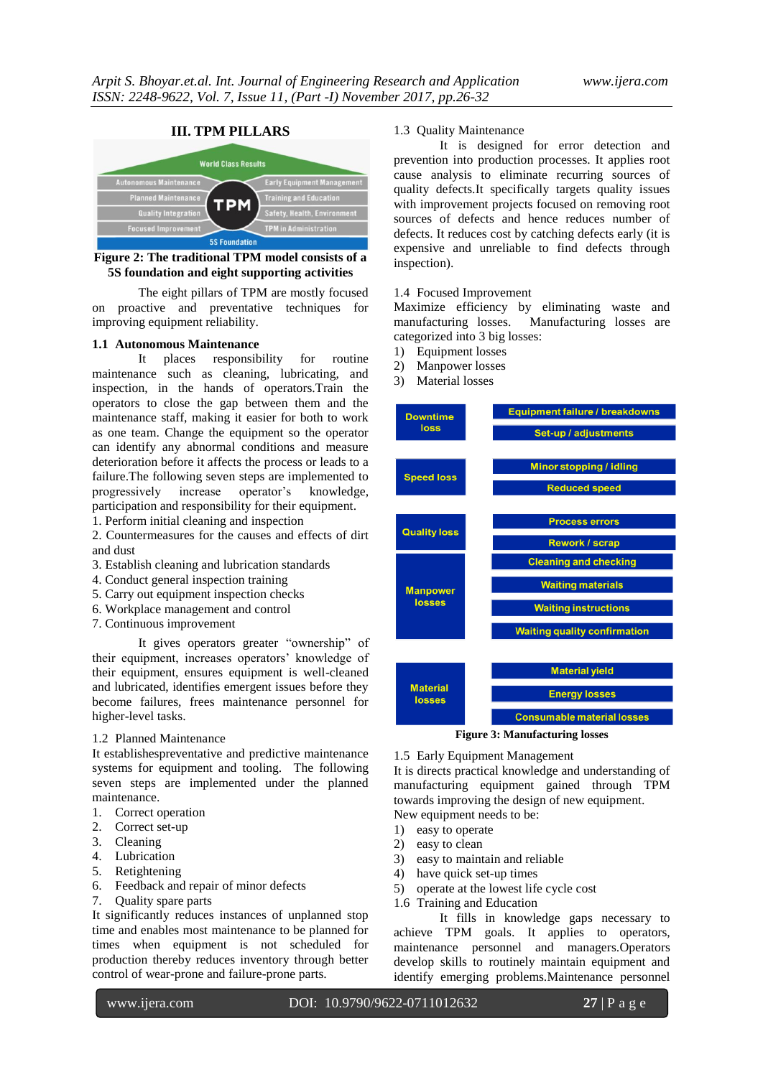

# **Figure 2: The traditional TPM model consists of a 5S foundation and eight supporting activities**

The eight pillars of TPM are mostly focused on proactive and preventative techniques for improving equipment reliability.

## **1.1 Autonomous Maintenance**

It places responsibility for routine maintenance such as cleaning, lubricating, and inspection, in the hands of operators.Train the operators to close the gap between them and the maintenance staff, making it easier for both to work as one team. Change the equipment so the operator can identify any abnormal conditions and measure deterioration before it affects the process or leads to a failure.The following seven steps are implemented to progressively increase operator"s knowledge, participation and responsibility for their equipment.

1. Perform initial cleaning and inspection

2. Countermeasures for the causes and effects of dirt and dust

- 3. Establish cleaning and lubrication standards
- 4. Conduct general inspection training
- 5. Carry out equipment inspection checks
- 6. Workplace management and control
- 7. Continuous improvement

It gives operators greater "ownership" of their equipment, increases operators' knowledge of their equipment, ensures equipment is well-cleaned and lubricated, identifies emergent issues before they become failures, frees maintenance personnel for higher-level tasks.

#### 1.2 Planned Maintenance

It establishespreventative and predictive maintenance systems for equipment and tooling. The following seven steps are implemented under the planned maintenance.

- 1. Correct operation
- 2. Correct set-up
- 3. Cleaning
- 4. Lubrication
- 5. Retightening
- 6. Feedback and repair of minor defects
- 7. Quality spare parts

It significantly reduces instances of unplanned stop time and enables most maintenance to be planned for times when equipment is not scheduled for production thereby reduces inventory through better control of wear-prone and failure-prone parts.

#### 1.3 Quality Maintenance

It is designed for error detection and prevention into production processes. It applies root cause analysis to eliminate recurring sources of quality defects.It specifically targets quality issues with improvement projects focused on removing root sources of defects and hence reduces number of defects. It reduces cost by catching defects early (it is expensive and unreliable to find defects through inspection).

## 1.4 Focused Improvement

Maximize efficiency by eliminating waste and manufacturing losses. Manufacturing losses are categorized into 3 big losses:

- 1) Equipment losses
- 2) Manpower losses
- 3) Material losses



**Figure 3: Manufacturing losses**

#### 1.5 Early Equipment Management

It is directs practical knowledge and understanding of manufacturing equipment gained through TPM towards improving the design of new equipment. New equipment needs to be:

1) easy to operate

- 2) easy to clean
- 3) easy to maintain and reliable
- 4) have quick set-up times
- 5) operate at the lowest life cycle cost
- 1.6 Training and Education

It fills in knowledge gaps necessary to achieve TPM goals. It applies to operators, maintenance personnel and managers.Operators develop skills to routinely maintain equipment and identify emerging problems.Maintenance personnel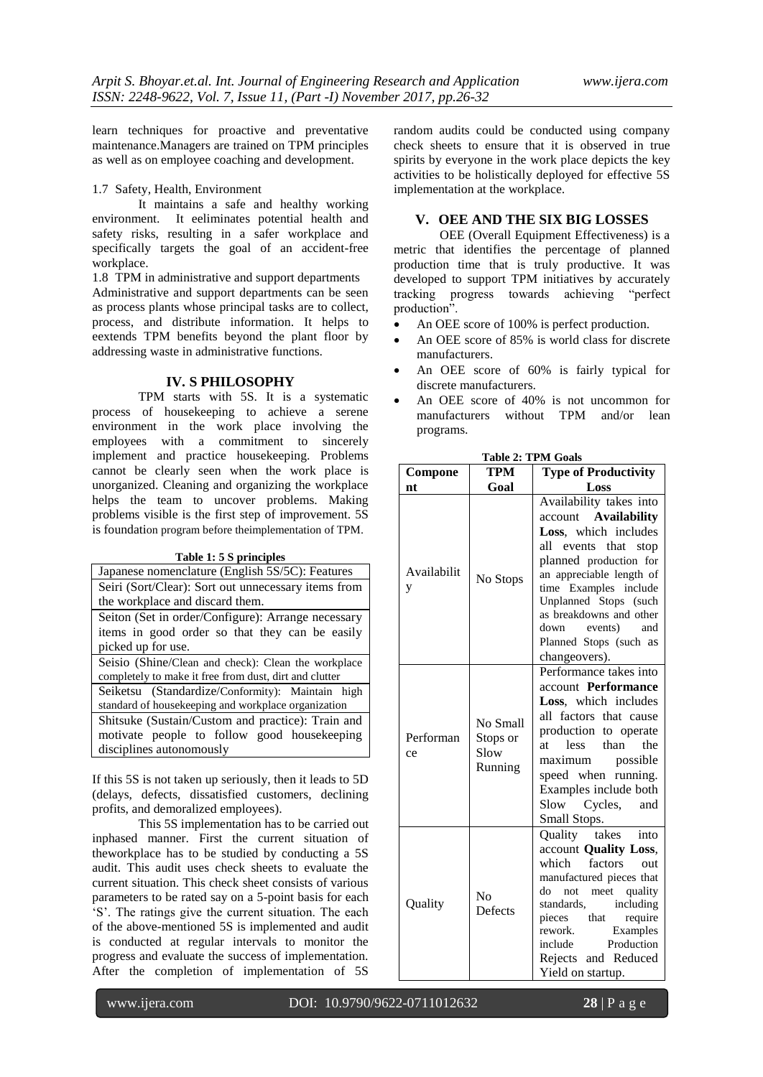learn techniques for proactive and preventative maintenance.Managers are trained on TPM principles as well as on employee coaching and development.

#### 1.7 Safety, Health, Environment

It maintains a safe and healthy working environment. It eeliminates potential health and safety risks, resulting in a safer workplace and specifically targets the goal of an accident-free workplace.

1.8 TPM in administrative and support departments Administrative and support departments can be seen as process plants whose principal tasks are to collect, process, and distribute information. It helps to eextends TPM benefits beyond the plant floor by addressing waste in administrative functions.

## **IV. S PHILOSOPHY**

TPM starts with 5S. It is a systematic process of housekeeping to achieve a serene environment in the work place involving the employees with a commitment to sincerely implement and practice housekeeping. Problems cannot be clearly seen when the work place is unorganized. Cleaning and organizing the workplace helps the team to uncover problems. Making problems visible is the first step of improvement. 5S is foundation program before theimplementation of TPM.

|  |  |  |  | Table 1: 5 S principles |
|--|--|--|--|-------------------------|
|--|--|--|--|-------------------------|

| Japanese nomenclature (English 5S/5C): Features        |  |  |  |  |
|--------------------------------------------------------|--|--|--|--|
| Seiri (Sort/Clear): Sort out unnecessary items from    |  |  |  |  |
| the workplace and discard them.                        |  |  |  |  |
| Seiton (Set in order/Configure): Arrange necessary     |  |  |  |  |
| items in good order so that they can be easily         |  |  |  |  |
| picked up for use.                                     |  |  |  |  |
| Seisio (Shine/Clean and check): Clean the workplace    |  |  |  |  |
| completely to make it free from dust, dirt and clutter |  |  |  |  |
| Seiketsu (Standardize/Conformity): Maintain high       |  |  |  |  |
| standard of house keeping and workplace organization   |  |  |  |  |
| Shitsuke (Sustain/Custom and practice): Train and      |  |  |  |  |
| motivate people to follow good house keeping           |  |  |  |  |
| disciplines autonomously                               |  |  |  |  |

If this 5S is not taken up seriously, then it leads to 5D (delays, defects, dissatisfied customers, declining profits, and demoralized employees).

This 5S implementation has to be carried out inphased manner. First the current situation of theworkplace has to be studied by conducting a 5S audit. This audit uses check sheets to evaluate the current situation. This check sheet consists of various parameters to be rated say on a 5-point basis for each "S". The ratings give the current situation. The each of the above-mentioned 5S is implemented and audit is conducted at regular intervals to monitor the progress and evaluate the success of implementation. After the completion of implementation of 5S

random audits could be conducted using company check sheets to ensure that it is observed in true spirits by everyone in the work place depicts the key activities to be holistically deployed for effective 5S implementation at the workplace.

# **V. OEE AND THE SIX BIG LOSSES**

OEE (Overall Equipment Effectiveness) is a metric that identifies the percentage of planned production time that is truly productive. It was developed to support TPM initiatives by accurately tracking progress towards achieving "perfect production".

- An OEE score of 100% is perfect production.
- An OEE score of 85% is world class for discrete manufacturers.
- An OEE score of 60% is fairly typical for discrete manufacturers.
- An OEE score of 40% is not uncommon for manufacturers without TPM and/or lean programs.

| Compone          | TPM                                     | <b>Type of Productivity</b>                                                                                                                                                                                                                                                                             |  |
|------------------|-----------------------------------------|---------------------------------------------------------------------------------------------------------------------------------------------------------------------------------------------------------------------------------------------------------------------------------------------------------|--|
| nt               | Goal                                    | Loss                                                                                                                                                                                                                                                                                                    |  |
| Availabilit<br>y | No Stops                                | Availability takes into<br>account Availability<br>Loss, which includes<br>all<br>events that stop<br>planned production for<br>an appreciable length of<br>time Examples include<br>Unplanned Stops (such<br>as breakdowns and other<br>down events)<br>and<br>Planned Stops (such as<br>changeovers). |  |
| Performan<br>ce  | No Small<br>Stops or<br>Slow<br>Running | Performance takes into<br>account Performance<br>Loss, which includes<br>all factors<br>that cause<br>production to operate<br>less<br>than<br>the<br>at.<br>maximum<br>possible<br>speed when running.<br>Examples include both<br>Cycles,<br>Slow<br>and<br>Small Stops.                              |  |
| Quality          | No<br><b>Defects</b>                    | Quality takes<br>into<br>account Quality Loss,<br>which<br>factors<br>out<br>manufactured pieces that<br>do<br>not meet quality<br>including<br>standards,<br>pieces that<br>require<br>Examples<br>rework.<br>Production<br>include<br>Rejects and Reduced<br>Yield on startup.                        |  |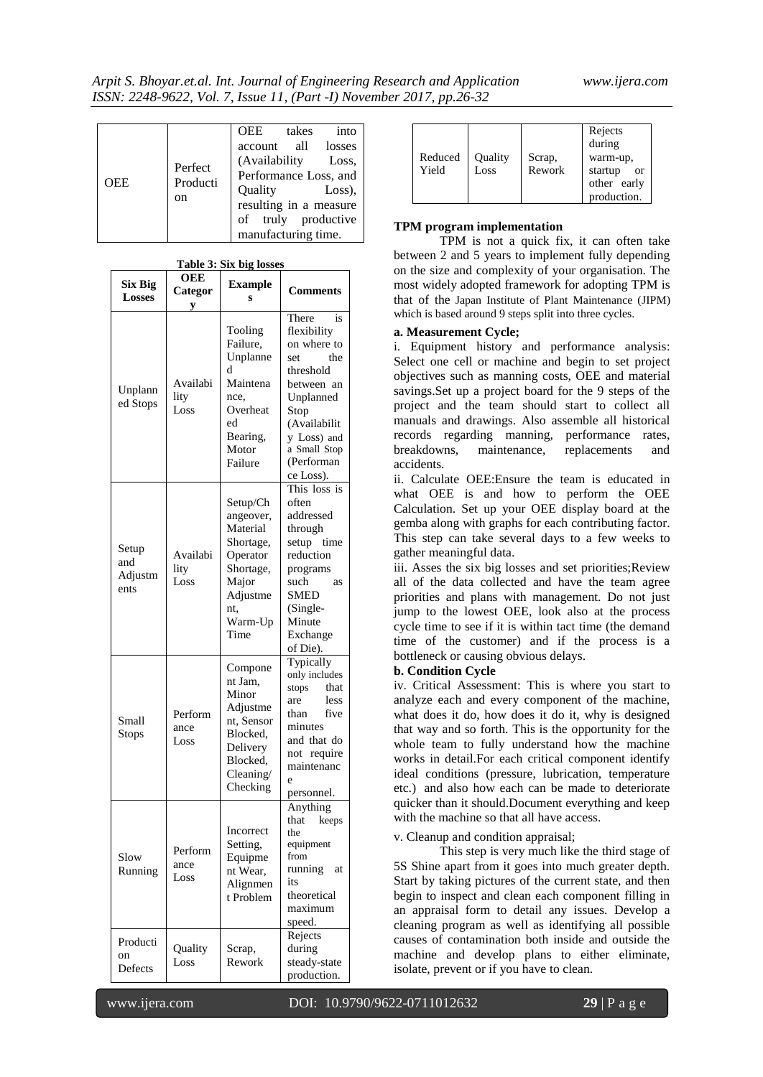| OEE | Perfect<br>Producti<br>on | OEE<br>account all losses<br>(Availability<br>Performance Loss, and<br>Ouality<br>resulting in a measure<br>of truly productive<br>manufacturing time. | takes | into<br>Loss,<br>$Loss)$ , |
|-----|---------------------------|--------------------------------------------------------------------------------------------------------------------------------------------------------|-------|----------------------------|
|-----|---------------------------|--------------------------------------------------------------------------------------------------------------------------------------------------------|-------|----------------------------|

| <b>Six Big</b><br><b>Losses</b> | OEE<br>Categor<br>y      | <b>Example</b><br>S                                                                                                    | <b>Comments</b>                                                                                                                                                                   |
|---------------------------------|--------------------------|------------------------------------------------------------------------------------------------------------------------|-----------------------------------------------------------------------------------------------------------------------------------------------------------------------------------|
| Unplann<br>ed Stops             | Availabi<br>lity<br>Loss | Tooling<br>Failure,<br>Unplanne<br>d<br>Maintena<br>nce,<br>Overheat<br>ed<br>Bearing,<br>Motor<br>Failure             | There<br>is<br>flexibility<br>on where to<br>the<br>set<br>threshold<br>between an<br>Unplanned<br>Stop<br>(Availabilit<br>v Loss) and<br>a Small Stop<br>(Performan<br>ce Loss). |
| Setup<br>and<br>Adjustm<br>ents | Availabi<br>lity<br>Loss | Setup/Ch<br>angeover,<br>Material<br>Shortage,<br>Operator<br>Shortage,<br>Major<br>Adjustme<br>nt.<br>Warm-Up<br>Time | This loss is<br>often<br>addressed<br>through<br>setup time<br>reduction<br>programs<br>such<br>as<br>SMED<br>$(Single-$<br>Minute<br>Exchange<br>of Die).                        |
| Small<br>Stops                  | Perform<br>ance<br>Loss  | Compone<br>nt Jam,<br>Minor<br>Adjustme<br>nt, Sensor<br>Blocked,<br>Delivery<br>Blocked,<br>$C$ leaning/<br>Checking  | Typically<br>only includes<br>stops<br>that<br>less<br>are<br>five<br>than<br>minutes<br>and that do<br>not require<br>maintenanc<br>e<br>personnel.                              |
| Slow<br>Running                 | Perform<br>ance<br>Loss  | Incorrect<br>Setting,<br>Equipme<br>nt Wear,<br>Alignmen<br>t Problem                                                  | Anything<br>that<br>keeps<br>the<br>equipment<br>from<br>running<br>at<br>its<br>theoretical<br>maximum<br>speed.                                                                 |
| Producti<br>on<br>Defects       | Quality<br>Loss          | Scrap,<br>Rework                                                                                                       | Rejects<br>during<br>steady-state<br>production.                                                                                                                                  |

**Table 3: Six big losses**

| Reduced | Quality | Scrap, | Rejects<br>during<br>warm-up, |
|---------|---------|--------|-------------------------------|
| Yield   | Loss    | Rework | startup<br><b>or</b>          |
|         |         |        | other early<br>production.    |

## **TPM program implementation**

TPM is not a quick fix, it can often take between 2 and 5 years to implement fully depending on the size and complexity of your organisation. The most widely adopted framework for adopting TPM is that of the Japan Institute of Plant Maintenance [\(JIPM\)](http://www.jipm.or.jp/en/) which is based around 9 steps split into three cycles.

## **a. Measurement Cycle;**

i. Equipment history and performance analysis: Select one cell or machine and begin to set project objectives such as manning costs, OEE and material savings.Set up a project board for the 9 steps of the project and the team should start to collect all manuals and drawings. Also assemble all historical records regarding manning, performance rates, breakdowns, maintenance, replacements and accidents.

ii. Calculate OEE:Ensure the team is educated in what OEE is and how to perform the OEE Calculation. Set up your OEE display board at the gemba along with graphs for each contributing factor. This step can take several days to a few weeks to gather meaningful data.

iii. Asses the six big losses and set priorities;Review all of the data collected and have the team agree priorities and plans with management. Do not just jump to the lowest OEE, look also at the process cycle time to see if it is within tact time (the demand time of the customer) and if the process is a bottleneck or causing obvious delays.

#### **b. Condition Cycle**

iv. Critical Assessment: This is where you start to analyze each and every component of the machine, what does it do, how does it do it, why is designed that way and so forth. This is the opportunity for the whole team to fully understand how the machine works in detail.For each critical component identify ideal conditions (pressure, lubrication, temperature etc.) and also how each can be made to deteriorate quicker than it should.Document everything and keep with the machine so that all have access.

#### v. Cleanup and condition appraisal;

This step is very much like the third stage of [5S Shine](http://leanmanufacturingtools.org/202/lean-5s-seiso-sweep-shine-clean-and-check/) apart from it goes into much greater depth. Start by taking pictures of the current state, and then begin to inspect and clean each component filling in an appraisal form to detail any issues. Develop a cleaning program as well as identifying all possible causes of contamination both inside and outside the machine and develop plans to either eliminate, isolate, prevent or if you have to clean.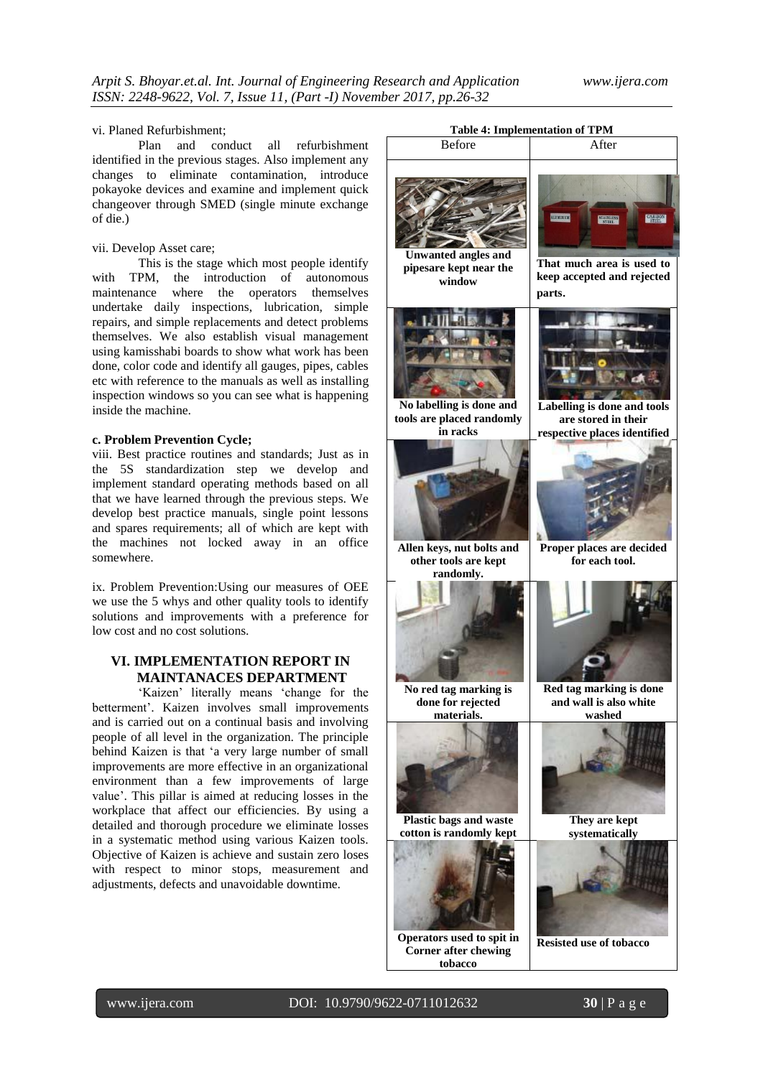#### vi. Planed Refurbishment;

Plan and conduct all refurbishment identified in the previous stages. Also implement any changes to eliminate contamination, introduce [pokayoke devices](http://leanmanufacturingtools.org/494/poka-yoke/) and examine and implement quick changeover through SMED (single minute exchange of die.)

## vii. Develop Asset care;

This is the stage which most people identify with TPM, the introduction of autonomous [maintenance](http://leanmanufacturingtools.org/438/autonomous-maintenance/) where the operators themselves undertake daily inspections, lubrication, simple repairs, and simple replacements and detect problems themselves. We also establish visual management using kamisshabi boards to show what work has been done, color code and identify all gauges, pipes, cables etc with reference to the manuals as well as installing inspection windows so you can see what is happening inside the machine.

## **c. Problem Prevention Cycle;**

viii. Best practice routines and standards; Just as in the [5S](http://leanmanufacturingtools.org/192/what-is-5s-seiri-seiton-seiso-seiketsu-shitsuke/) standardization step we develop and implement standard operating methods based on all that we have learned through the previous steps. We develop best practice manuals, single point lessons and spares requirements; all of which are kept with the machines not locked away in an office somewhere.

ix. Problem Prevention:Using our measures of OEE we use the 5 whys and other quality tools to identify solutions and improvements with a preference for low cost and no cost solutions.

## **VI. IMPLEMENTATION REPORT IN MAINTANACES DEPARTMENT**

'Kaizen' literally means 'change for the betterment'. Kaizen involves small improvements and is carried out on a continual basis and involving people of all level in the organization. The principle behind Kaizen is that "a very large number of small improvements are more effective in an organizational environment than a few improvements of large value'. This pillar is aimed at reducing losses in the workplace that affect our efficiencies. By using a detailed and thorough procedure we eliminate losses in a systematic method using various Kaizen tools. Objective of Kaizen is achieve and sustain zero loses with respect to minor stops, measurement and adjustments, defects and unavoidable downtime.



www.ijera.com DOI: 10.9790/9622-0711012632 **30** | P a g e

**Corner after chewing tobacco**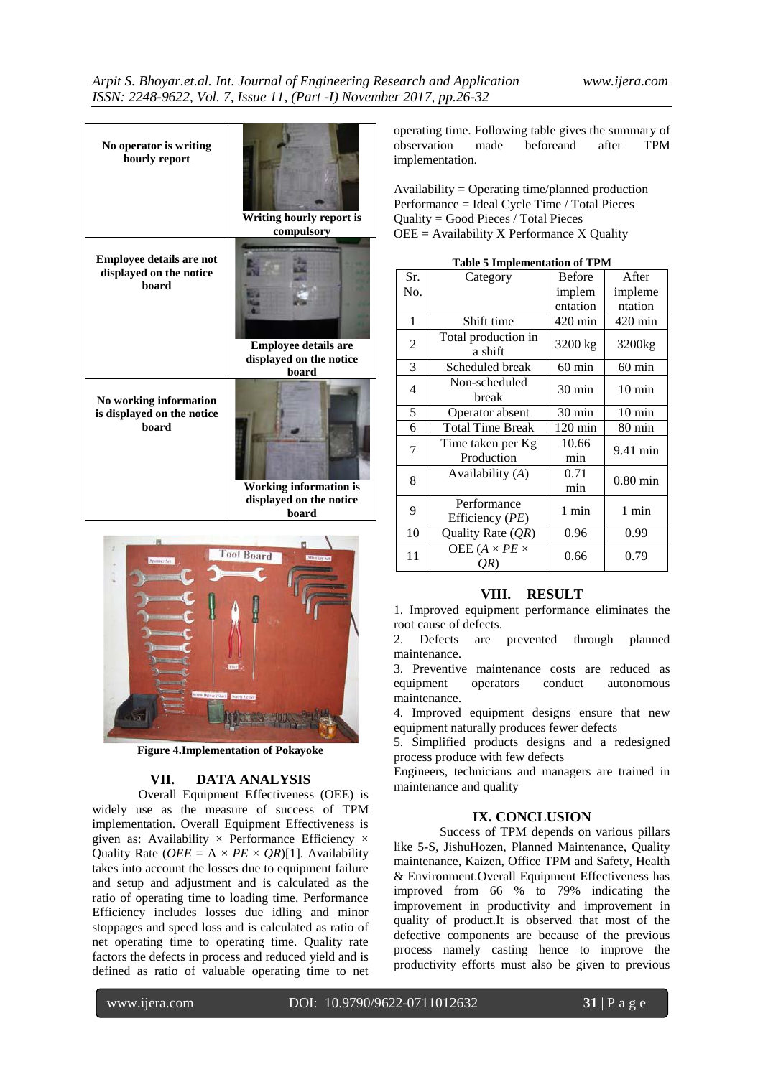| No operator is writing          | Writing hourly report is    |
|---------------------------------|-----------------------------|
| hourly report                   | compulsory                  |
| <b>Employee details are not</b> | <b>Employee details are</b> |
| displayed on the notice         | displayed on the notice     |
| board                           | board                       |
| No working information          | Working information is      |
| is displayed on the notice      | displayed on the notice     |
| board                           | board                       |



**Figure 4.Implementation of Pokayoke**

## **VII. DATA ANALYSIS**

Overall Equipment Effectiveness (OEE) is widely use as the measure of success of TPM implementation. Overall Equipment Effectiveness is given as: Availability  $\times$  Performance Efficiency  $\times$ Quality Rate ( $OEE = A \times PE \times QR$ )[1]. Availability takes into account the losses due to equipment failure and setup and adjustment and is calculated as the ratio of operating time to loading time. Performance Efficiency includes losses due idling and minor stoppages and speed loss and is calculated as ratio of net operating time to operating time. Quality rate factors the defects in process and reduced yield and is defined as ratio of valuable operating time to net

operating time. Following table gives the summary of observation made beforeand after TPM implementation.

Availability = Operating time/planned production Performance = Ideal Cycle Time / Total Pieces Quality = Good Pieces / Total Pieces OEE = Availability X Performance X Quality

| Sr.            | Category                          | <b>Before</b>     | After              |  |
|----------------|-----------------------------------|-------------------|--------------------|--|
| No.            |                                   | implem            | impleme            |  |
|                |                                   | entation          | ntation            |  |
| 1              | Shift time                        | $420 \text{ min}$ | $420 \text{ min}$  |  |
| $\overline{2}$ | Total production in<br>a shift    | 3200 kg           | 3200 <sub>kg</sub> |  |
| 3              | Scheduled break                   | $60$ min          | $60$ min           |  |
| 4              | Non-scheduled<br>break            | $30 \text{ min}$  | $10 \text{ min}$   |  |
| 5              | Operator absent                   | 30 min            | $10 \text{ min}$   |  |
| 6              | <b>Total Time Break</b>           | $120 \text{ min}$ | $80 \text{ min}$   |  |
| 7              | Time taken per Kg                 | 10.66             | 9.41 min           |  |
|                | Production                        | min               |                    |  |
| 8              | Availability $(A)$                | 0.71              | $0.80$ min         |  |
|                |                                   | min               |                    |  |
| 9              | Performance                       | 1 min             | 1 min              |  |
|                | Efficiency (PE)                   |                   |                    |  |
| 10             | Quality Rate $(QR)$               | 0.96              | 0.99               |  |
| 11             | OEE ( $A \times PE \times$<br>OR) | 0.66              | 0.79               |  |
|                |                                   |                   |                    |  |

**Table 5 Implementation of TPM**

## **VIII. RESULT**

1. Improved equipment performance eliminates the root cause of defects.

2. Defects are prevented through planned maintenance.

3. Preventive maintenance costs are reduced as equipment operators conduct autonomous maintenance.

4. Improved equipment designs ensure that new equipment naturally produces fewer defects

5. Simplified products designs and a redesigned process produce with few defects

Engineers, technicians and managers are trained in maintenance and quality

## **IX. CONCLUSION**

Success of TPM depends on various pillars like 5-S, JishuHozen, Planned Maintenance, Quality maintenance, Kaizen, Office TPM and Safety, Health & Environment.Overall Equipment Effectiveness has improved from 66 % to 79% indicating the improvement in productivity and improvement in quality of product.It is observed that most of the defective components are because of the previous process namely casting hence to improve the productivity efforts must also be given to previous